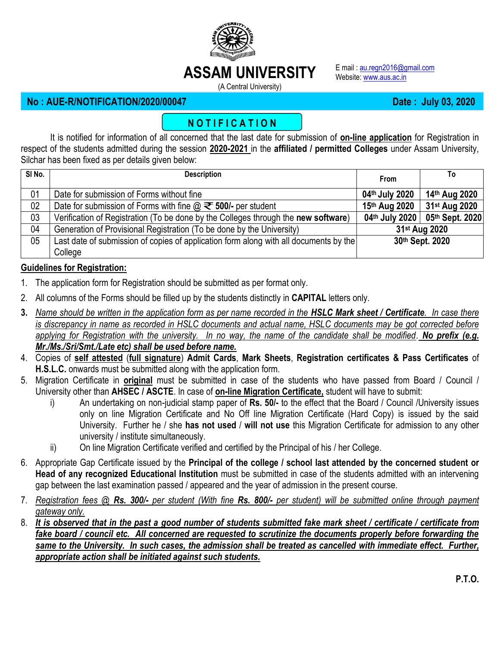

# **ASSAM UNIVERSITY**

(A Central University)

E mail [: au.regn2016@gmail.com](mailto:au.regn2016@gmail.com) Website: [www.aus.ac.in](http://www.aus.ac.in/)

### **No : AUE-R/NOTIFICATION/2020/00047 Date : July 03, 2020**

## **N O T I F I C A T I O N**

It is notified for information of all concerned that the last date for submission of **on-line application** for Registration in respect of the students admitted during the session **2020-2021** in the **affiliated / permitted Colleges** under Assam University, Silchar has been fixed as per details given below:

| SI <sub>No.</sub> | <b>Description</b>                                                                    | <b>From</b>               | Τo              |
|-------------------|---------------------------------------------------------------------------------------|---------------------------|-----------------|
| 01                | Date for submission of Forms without fine                                             | 04th July 2020            | 14th Aug 2020   |
| 02                | Date for submission of Forms with fine $\omega \approx 500$ - per student             | 15th Aug 2020             | 31st Aug 2020   |
| 03                | Verification of Registration (To be done by the Colleges through the new software)    | 04th July 2020            | 05th Sept. 2020 |
| 04                | Generation of Provisional Registration (To be done by the University)                 | 31 <sup>st</sup> Aug 2020 |                 |
| 05                | Last date of submission of copies of application form along with all documents by the | 30th Sept. 2020           |                 |
|                   | College                                                                               |                           |                 |

#### **Guidelines for Registration:**

- 1. The application form for Registration should be submitted as per format only.
- 2. All columns of the Forms should be filled up by the students distinctly in **CAPITAL** letters only.
- **3.** *Name should be written in the application form as per name recorded in the HSLC Mark sheet / Certificate. In case there is discrepancy in name as recorded in HSLC documents and actual name, HSLC documents may be got corrected before applying for Registration with the university. In no way, the name of the candidate shall be modified. No prefix (e.g. Mr./Ms./Sri/Smt./Late etc) shall be used before name.*
- 4. Copies of **self attested** (**full signature**) **Admit Cards**, **Mark Sheets**, **Registration certificates & Pass Certificates** of **H.S.L.C.** onwards must be submitted along with the application form.
- 5. Migration Certificate in **original** must be submitted in case of the students who have passed from Board / Council / University other than **AHSEC / ASCTE**. In case of **on-line Migration Certificate,** student will have to submit:
	- i) An undertaking on non-judicial stamp paper of **Rs. 50/-** to the effect that the Board / Council /University issues only on line Migration Certificate and No Off line Migration Certificate (Hard Copy) is issued by the said University. Further he / she **has not used** / **will not use** this Migration Certificate for admission to any other university / institute simultaneously.
	- ii) On line Migration Certificate verified and certified by the Principal of his / her College.
- 6. Appropriate Gap Certificate issued by the **Principal of the college / school last attended by the concerned student or Head of any recognized Educational Institution** must be submitted in case of the students admitted with an intervening gap between the last examination passed / appeared and the year of admission in the present course.
- 7. *Registration fees @ Rs. 300/- per student (With fine Rs. 800/- per student) will be submitted online through payment gateway only.*
- 8. *It is observed that in the past a good number of students submitted fake mark sheet / certificate / certificate from fake board / council etc. All concerned are requested to scrutinize the documents properly before forwarding the same to the University. In such cases, the admission shall be treated as cancelled with immediate effect. Further, appropriate action shall be initiated against such students.*